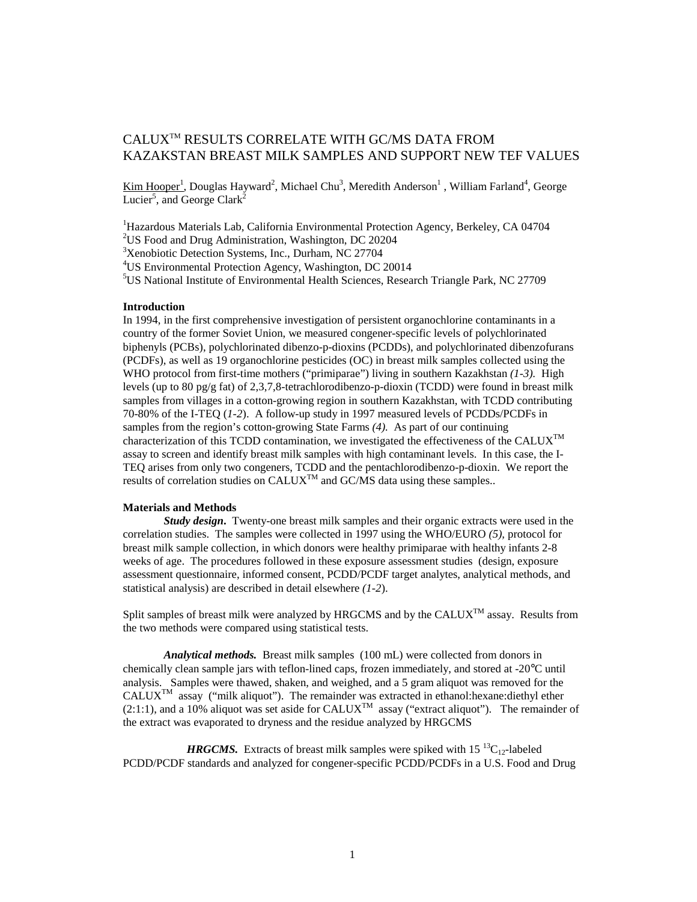# CALUXTM RESULTS CORRELATE WITH GC/MS DATA FROM KAZAKSTAN BREAST MILK SAMPLES AND SUPPORT NEW TEF VALUES

Kim Hooper<sup>1</sup>, Douglas Hayward<sup>2</sup>, Michael Chu<sup>3</sup>, Meredith Anderson<sup>1</sup>, William Farland<sup>4</sup>, George Lucier<sup>5</sup>, and George Clark<sup>2</sup>

<sup>1</sup>Hazardous Materials Lab, California Environmental Protection Agency, Berkeley, CA 04704 <sup>2</sup>US Food and Drug Administration, Washington, DC 20204

<sup>3</sup>Xenobiotic Detection Systems, Inc., Durham, NC 27704

4 US Environmental Protection Agency, Washington, DC 20014

5 US National Institute of Environmental Health Sciences, Research Triangle Park, NC 27709

### **Introduction**

In 1994, in the first comprehensive investigation of persistent organochlorine contaminants in a country of the former Soviet Union, we measured congener-specific levels of polychlorinated biphenyls (PCBs), polychlorinated dibenzo-p-dioxins (PCDDs), and polychlorinated dibenzofurans (PCDFs), as well as 19 organochlorine pesticides (OC) in breast milk samples collected using the WHO protocol from first-time mothers ("primiparae") living in southern Kazakhstan *(1-3).* High levels (up to 80 pg/g fat) of 2,3,7,8-tetrachlorodibenzo-p-dioxin (TCDD) were found in breast milk samples from villages in a cotton-growing region in southern Kazakhstan, with TCDD contributing 70-80% of the I-TEQ (*1-2*). A follow-up study in 1997 measured levels of PCDDs/PCDFs in samples from the region's cotton-growing State Farms *(4).* As part of our continuing characterization of this TCDD contamination, we investigated the effectiveness of the CALUX<sup>TM</sup> assay to screen and identify breast milk samples with high contaminant levels. In this case, the I-TEQ arises from only two congeners, TCDD and the pentachlorodibenzo-p-dioxin. We report the results of correlation studies on  $CALUX^{TM}$  and  $GC/MS$  data using these samples..

#### **Materials and Methods**

*Study design***.** Twenty-one breast milk samples and their organic extracts were used in the correlation studies. The samples were collected in 1997 using the WHO/EURO *(5),* protocol for breast milk sample collection, in which donors were healthy primiparae with healthy infants 2-8 weeks of age. The procedures followed in these exposure assessment studies (design, exposure assessment questionnaire, informed consent, PCDD/PCDF target analytes, analytical methods, and statistical analysis) are described in detail elsewhere *(1-2*).

Split samples of breast milk were analyzed by HRGCMS and by the CALUX<sup>TM</sup> assay. Results from the two methods were compared using statistical tests.

*Analytical methods.* Breast milk samples (100 mL) were collected from donors in chemically clean sample jars with teflon-lined caps, frozen immediately, and stored at -20°C until analysis. Samples were thawed, shaken, and weighed, and a 5 gram aliquot was removed for the CALUXTM assay ("milk aliquot"). The remainder was extracted in ethanol:hexane:diethyl ether  $(2:1:1)$ , and a 10% aliquot was set aside for CALUX<sup>TM</sup> assay ("extract aliquot"). The remainder of the extract was evaporated to dryness and the residue analyzed by HRGCMS

*HRGCMS*. Extracts of breast milk samples were spiked with  $15^{13}C_{12}$ -labeled PCDD/PCDF standards and analyzed for congener-specific PCDD/PCDFs in a U.S. Food and Drug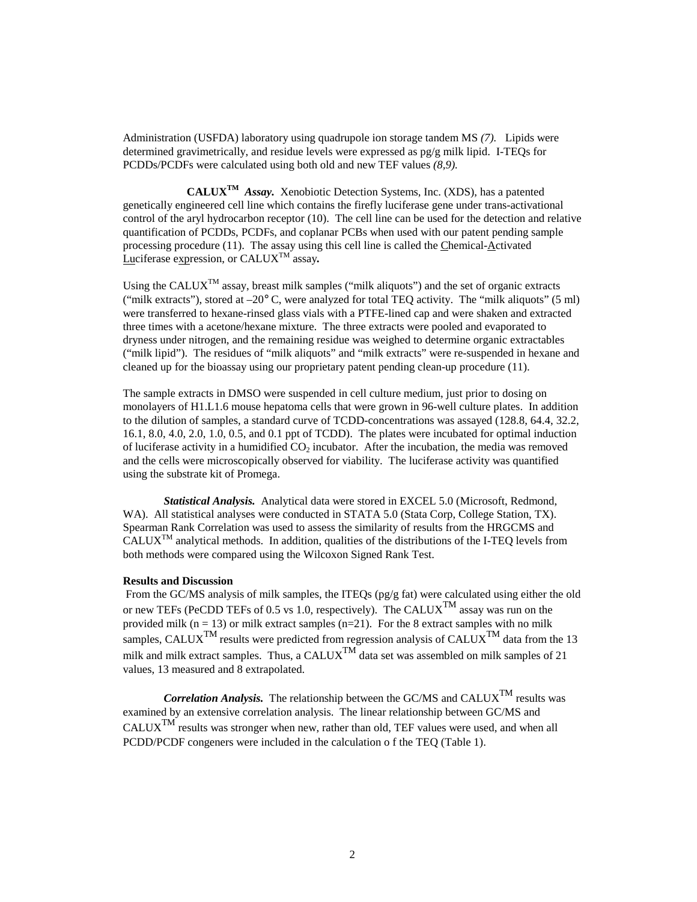Administration (USFDA) laboratory using quadrupole ion storage tandem MS *(7).* Lipids were determined gravimetrically, and residue levels were expressed as pg/g milk lipid. I-TEQs for PCDDs/PCDFs were calculated using both old and new TEF values *(8,9).*

 **CALUXTM** *Assay.* Xenobiotic Detection Systems, Inc. (XDS), has a patented genetically engineered cell line which contains the firefly luciferase gene under trans-activational control of the aryl hydrocarbon receptor (10). The cell line can be used for the detection and relative quantification of PCDDs, PCDFs, and coplanar PCBs when used with our patent pending sample processing procedure (11). The assay using this cell line is called the Chemical-Activated Luciferase expression, or CALUXTM assay*.*

Using the CALUX<sup>TM</sup> assay, breast milk samples ("milk aliquots") and the set of organic extracts ("milk extracts"), stored at  $-20^{\circ}$  C, were analyzed for total TEO activity. The "milk aliquots" (5 ml) were transferred to hexane-rinsed glass vials with a PTFE-lined cap and were shaken and extracted three times with a acetone/hexane mixture. The three extracts were pooled and evaporated to dryness under nitrogen, and the remaining residue was weighed to determine organic extractables ("milk lipid"). The residues of "milk aliquots" and "milk extracts" were re-suspended in hexane and cleaned up for the bioassay using our proprietary patent pending clean-up procedure (11).

The sample extracts in DMSO were suspended in cell culture medium, just prior to dosing on monolayers of H1.L1.6 mouse hepatoma cells that were grown in 96-well culture plates. In addition to the dilution of samples, a standard curve of TCDD-concentrations was assayed (128.8, 64.4, 32.2, 16.1, 8.0, 4.0, 2.0, 1.0, 0.5, and 0.1 ppt of TCDD). The plates were incubated for optimal induction of luciferase activity in a humidified  $CO<sub>2</sub>$  incubator. After the incubation, the media was removed and the cells were microscopically observed for viability. The luciferase activity was quantified using the substrate kit of Promega.

*Statistical Analysis.* Analytical data were stored in EXCEL 5.0 (Microsoft, Redmond, WA). All statistical analyses were conducted in STATA 5.0 (Stata Corp, College Station, TX). Spearman Rank Correlation was used to assess the similarity of results from the HRGCMS and  $CALUX<sup>TM</sup>$  analytical methods. In addition, qualities of the distributions of the I-TEO levels from both methods were compared using the Wilcoxon Signed Rank Test.

#### **Results and Discussion**

 From the GC/MS analysis of milk samples, the ITEQs (pg/g fat) were calculated using either the old or new TEFs (PeCDD TEFs of 0.5 vs 1.0, respectively). The CALUX<sup>TM</sup> assay was run on the provided milk ( $n = 13$ ) or milk extract samples ( $n=21$ ). For the 8 extract samples with no milk samples, CALUX<sup>TM</sup> results were predicted from regression analysis of CALUX<sup>TM</sup> data from the 13 milk and milk extract samples. Thus, a CALUX<sup>TM</sup> data set was assembled on milk samples of 21 values, 13 measured and 8 extrapolated.

*Correlation Analysis.* The relationship between the GC/MS and CALUX<sup>TM</sup> results was examined by an extensive correlation analysis. The linear relationship between GC/MS and  $CALUX<sup>TM</sup>$  results was stronger when new, rather than old, TEF values were used, and when all PCDD/PCDF congeners were included in the calculation o f the TEQ (Table 1).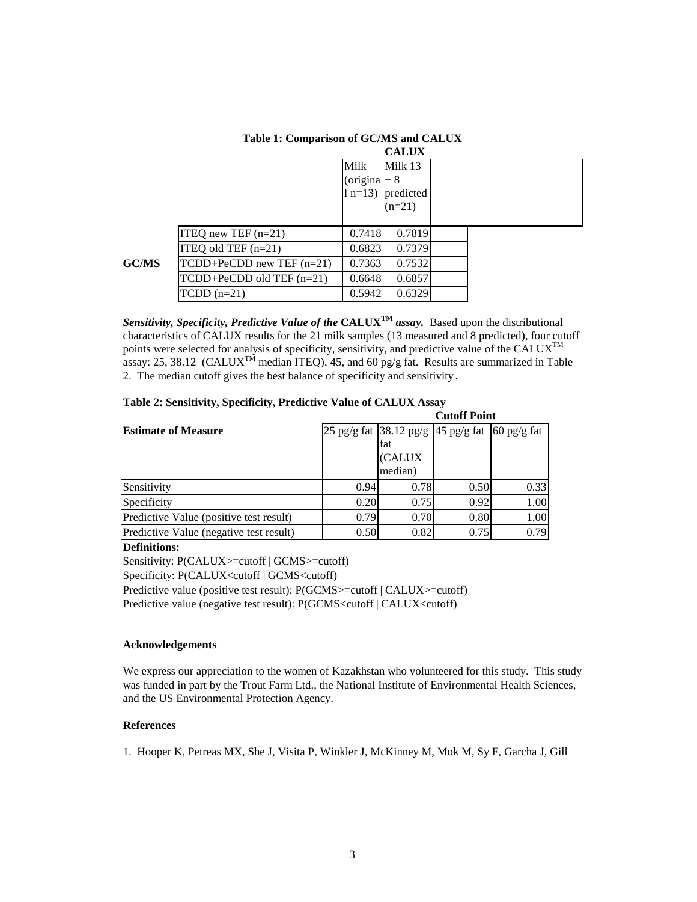|       |                               | <b>CALUX</b>  |           |  |  |  |  |  |
|-------|-------------------------------|---------------|-----------|--|--|--|--|--|
|       |                               | Milk          | Milk 13   |  |  |  |  |  |
|       |                               | (origina $+8$ |           |  |  |  |  |  |
|       |                               | $1 n=13$      | predicted |  |  |  |  |  |
|       |                               |               | $(n=21)$  |  |  |  |  |  |
|       |                               |               |           |  |  |  |  |  |
|       | ITEQ new TEF $(n=21)$         | 0.7418        | 0.7819    |  |  |  |  |  |
|       | ITEQ old TEF $(n=21)$         | 0.6823        | 0.7379    |  |  |  |  |  |
| GC/MS | $TCDD+PeCDD$ new TEF $(n=21)$ | 0.7363        | 0.7532    |  |  |  |  |  |
|       | $TCDD+PeCDD$ old $TEF(n=21)$  | 0.6648        | 0.6857    |  |  |  |  |  |
|       | $TCDD (n=21)$                 | 0.5942        | 0.6329    |  |  |  |  |  |
|       |                               |               |           |  |  |  |  |  |

# **Table 1: Comparison of GC/MS and CALUX**

*Sensitivity, Specificity, Predictive Value of the* **CALUXTM** *assay.* Based upon the distributional characteristics of CALUX results for the 21 milk samples (13 measured and 8 predicted), four cutoff points were selected for analysis of specificity, sensitivity, and predictive value of the CALUX<sup>TM</sup> assay: 25, 38.12 (CALUX<sup>TM</sup> median ITEQ), 45, and 60 pg/g fat. Results are summarized in Table 2. The median cutoff gives the best balance of specificity and sensitivity.

|                                         |      | <b>Cutoff Point</b> |                                                           |      |  |  |
|-----------------------------------------|------|---------------------|-----------------------------------------------------------|------|--|--|
| <b>Estimate of Measure</b>              |      |                     | $25$ pg/g fat $ 38.12$ pg/g $ 45$ pg/g fat $ 60$ pg/g fat |      |  |  |
|                                         |      | fat                 |                                                           |      |  |  |
|                                         |      | (CALUX              |                                                           |      |  |  |
|                                         |      | median)             |                                                           |      |  |  |
| Sensitivity                             | 0.94 | 0.78                | 0.50                                                      | 0.33 |  |  |
| Specificity                             | 0.20 | 0.75                | 0.92                                                      | 1.00 |  |  |
| Predictive Value (positive test result) | 0.79 | 0.70                | 0.80                                                      | 1.00 |  |  |
| Predictive Value (negative test result) | 0.50 | 0.82                | 0.75                                                      | 0.79 |  |  |

#### **Table 2: Sensitivity, Specificity, Predictive Value of CALUX Assay**

**Definitions:** 

Sensitivity: P(CALUX>=cutoff | GCMS>=cutoff) Specificity: P(CALUX<cutoff | GCMS<cutoff) Predictive value (positive test result): P(GCMS>=cutoff | CALUX>=cutoff) Predictive value (negative test result): P(GCMS<cutoff | CALUX<cutoff)

# **Acknowledgements**

We express our appreciation to the women of Kazakhstan who volunteered for this study. This study was funded in part by the Trout Farm Ltd., the National Institute of Environmental Health Sciences, and the US Environmental Protection Agency.

# **References**

1. Hooper K, Petreas MX, She J, Visita P, Winkler J, McKinney M, Mok M, Sy F, Garcha J, Gill